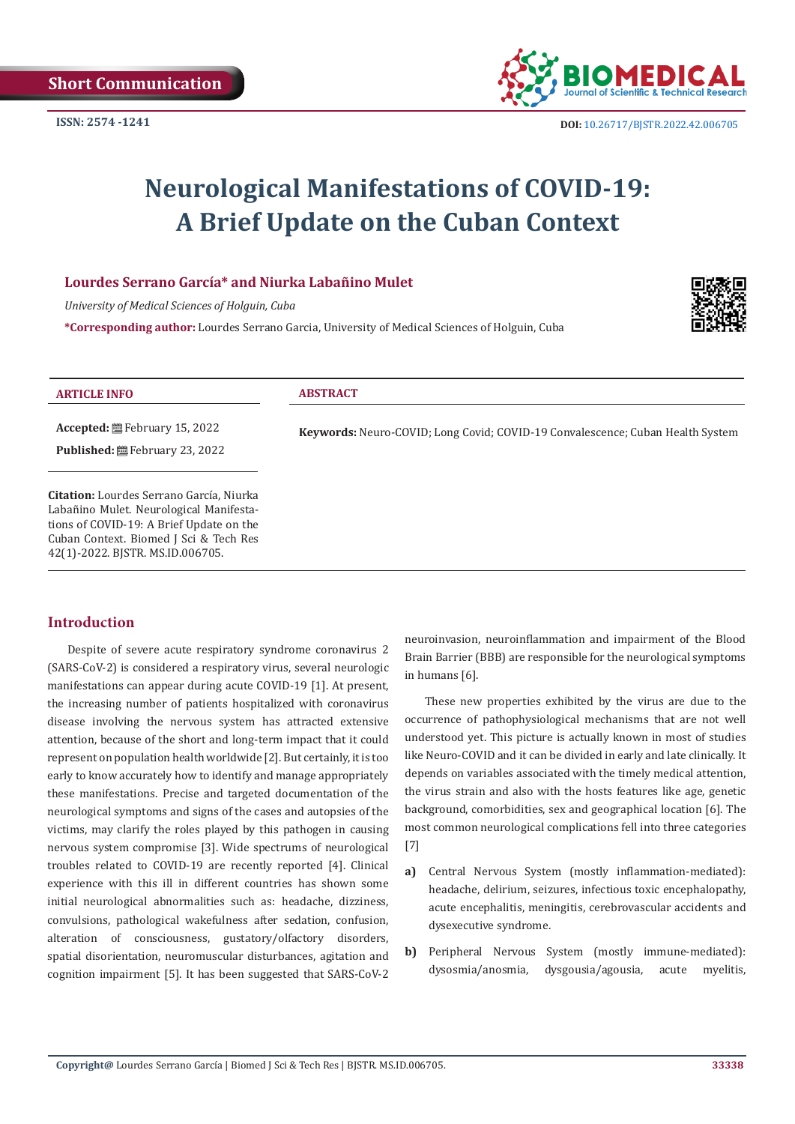

# **Neurological Manifestations of COVID-19: A Brief Update on the Cuban Context**

## **Lourdes Serrano García\* and Niurka Labañino Mulet**

*University of Medical Sciences of Holguin, Cuba*

**\*Corresponding author:** Lourdes Serrano Garcia, University of Medical Sciences of Holguin, Cuba



| <b>ARTICLE INFO</b>                                                                 | <b>ABSTRACT</b>                                                                       |
|-------------------------------------------------------------------------------------|---------------------------------------------------------------------------------------|
|                                                                                     | <b>Keywords:</b> Neuro-COVID; Long Covid; COVID-19 Convalescence; Cuban Health System |
| <b>Published:</b> 巴 February 23, 2022                                               |                                                                                       |
| <b>Citation:</b> Lourdes Serrano García, Niurka                                     |                                                                                       |
| Labañino Mulet. Neurological Manifesta-<br>tions of COVID-19: A Brief Update on the |                                                                                       |
| Cuban Context. Biomed J Sci & Tech Res<br>42(1)-2022. BJSTR. MS.ID.006705.          |                                                                                       |

## **Introduction**

Despite of severe acute respiratory syndrome coronavirus 2 (SARS-CoV-2) is considered a respiratory virus, several neurologic manifestations can appear during acute COVID-19 [1]. At present, the increasing number of patients hospitalized with coronavirus disease involving the nervous system has attracted extensive attention, because of the short and long-term impact that it could represent on population health worldwide [2]. But certainly, it is too early to know accurately how to identify and manage appropriately these manifestations. Precise and targeted documentation of the neurological symptoms and signs of the cases and autopsies of the victims, may clarify the roles played by this pathogen in causing nervous system compromise [3]. Wide spectrums of neurological troubles related to COVID-19 are recently reported [4]. Clinical experience with this ill in different countries has shown some initial neurological abnormalities such as: headache, dizziness, convulsions, pathological wakefulness after sedation, confusion, alteration of consciousness, gustatory/olfactory disorders, spatial disorientation, neuromuscular disturbances, agitation and cognition impairment [5]. It has been suggested that SARS-CoV-2

neuroinvasion, neuroinflammation and impairment of the Blood Brain Barrier (BBB) are responsible for the neurological symptoms in humans [6].

These new properties exhibited by the virus are due to the occurrence of pathophysiological mechanisms that are not well understood yet. This picture is actually known in most of studies like Neuro-COVID and it can be divided in early and late clinically. It depends on variables associated with the timely medical attention, the virus strain and also with the hosts features like age, genetic background, comorbidities, sex and geographical location [6]. The most common neurological complications fell into three categories [7]

- **a)** Central Nervous System (mostly inflammation-mediated): headache, delirium, seizures, infectious toxic encephalopathy, acute encephalitis, meningitis, cerebrovascular accidents and dysexecutive syndrome.
- **b)** Peripheral Nervous System (mostly immune-mediated): dysosmia/anosmia, dysgousia/agousia, acute myelitis,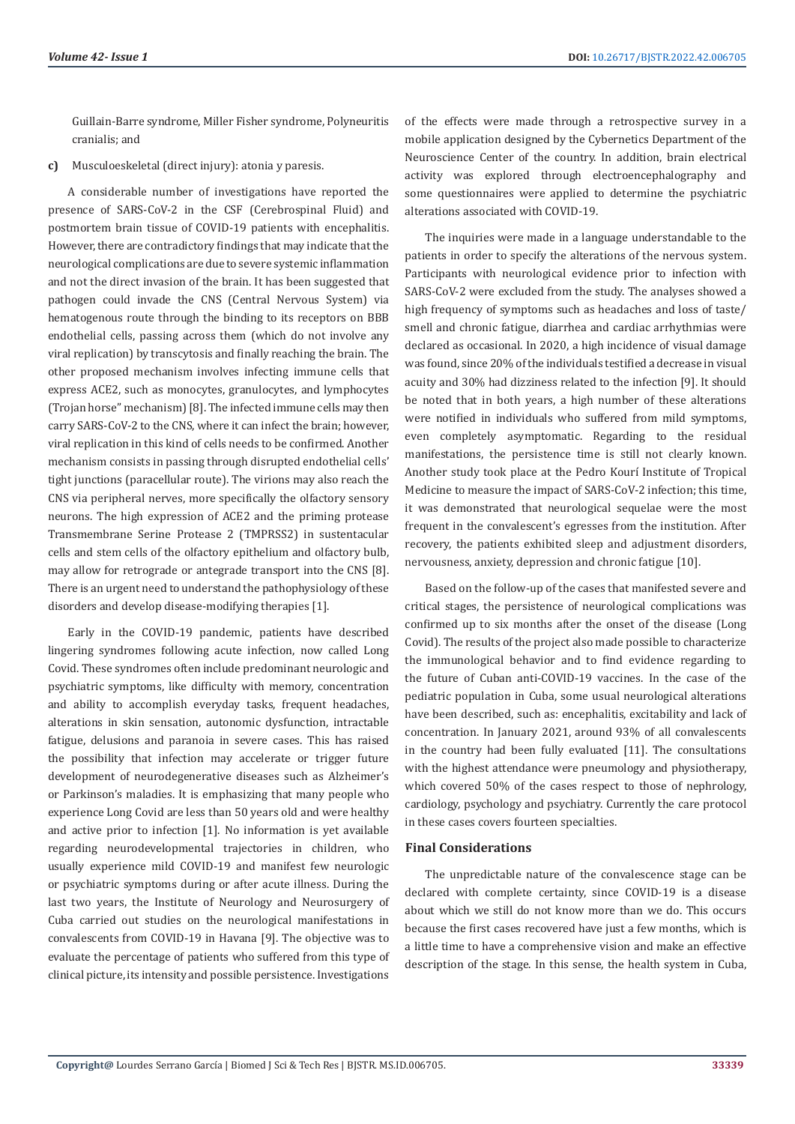Guillain-Barre syndrome, Miller Fisher syndrome, Polyneuritis cranialis; and

**c)** Musculoeskeletal (direct injury): atonia y paresis.

A considerable number of investigations have reported the presence of SARS-CoV-2 in the CSF (Cerebrospinal Fluid) and postmortem brain tissue of COVID-19 patients with encephalitis. However, there are contradictory findings that may indicate that the neurological complications are due to severe systemic inflammation and not the direct invasion of the brain. It has been suggested that pathogen could invade the CNS (Central Nervous System) via hematogenous route through the binding to its receptors on BBB endothelial cells, passing across them (which do not involve any viral replication) by transcytosis and finally reaching the brain. The other proposed mechanism involves infecting immune cells that express ACE2, such as monocytes, granulocytes, and lymphocytes (Trojan horse" mechanism) [8]. The infected immune cells may then carry SARS-CoV-2 to the CNS, where it can infect the brain; however, viral replication in this kind of cells needs to be confirmed. Another mechanism consists in passing through disrupted endothelial cells' tight junctions (paracellular route). The virions may also reach the CNS via peripheral nerves, more specifically the olfactory sensory neurons. The high expression of ACE2 and the priming protease Transmembrane Serine Protease 2 (TMPRSS2) in sustentacular cells and stem cells of the olfactory epithelium and olfactory bulb, may allow for retrograde or antegrade transport into the CNS [8]. There is an urgent need to understand the pathophysiology of these disorders and develop disease-modifying therapies [1].

Early in the COVID-19 pandemic, patients have described lingering syndromes following acute infection, now called Long Covid. These syndromes often include predominant neurologic and psychiatric symptoms, like difficulty with memory, concentration and ability to accomplish everyday tasks, frequent headaches, alterations in skin sensation, autonomic dysfunction, intractable fatigue, delusions and paranoia in severe cases. This has raised the possibility that infection may accelerate or trigger future development of neurodegenerative diseases such as Alzheimer's or Parkinson's maladies. It is emphasizing that many people who experience Long Covid are less than 50 years old and were healthy and active prior to infection [1]. No information is yet available regarding neurodevelopmental trajectories in children, who usually experience mild COVID-19 and manifest few neurologic or psychiatric symptoms during or after acute illness. During the last two years, the Institute of Neurology and Neurosurgery of Cuba carried out studies on the neurological manifestations in convalescents from COVID-19 in Havana [9]. The objective was to evaluate the percentage of patients who suffered from this type of clinical picture, its intensity and possible persistence. Investigations

of the effects were made through a retrospective survey in a mobile application designed by the Cybernetics Department of the Neuroscience Center of the country. In addition, brain electrical activity was explored through electroencephalography and some questionnaires were applied to determine the psychiatric alterations associated with COVID-19.

The inquiries were made in a language understandable to the patients in order to specify the alterations of the nervous system. Participants with neurological evidence prior to infection with SARS-CoV-2 were excluded from the study. The analyses showed a high frequency of symptoms such as headaches and loss of taste/ smell and chronic fatigue, diarrhea and cardiac arrhythmias were declared as occasional. In 2020, a high incidence of visual damage was found, since 20% of the individuals testified a decrease in visual acuity and 30% had dizziness related to the infection [9]. It should be noted that in both years, a high number of these alterations were notified in individuals who suffered from mild symptoms, even completely asymptomatic. Regarding to the residual manifestations, the persistence time is still not clearly known. Another study took place at the Pedro Kourí Institute of Tropical Medicine to measure the impact of SARS-CoV-2 infection; this time, it was demonstrated that neurological sequelae were the most frequent in the convalescent's egresses from the institution. After recovery, the patients exhibited sleep and adjustment disorders, nervousness, anxiety, depression and chronic fatigue [10].

Based on the follow-up of the cases that manifested severe and critical stages, the persistence of neurological complications was confirmed up to six months after the onset of the disease (Long Covid). The results of the project also made possible to characterize the immunological behavior and to find evidence regarding to the future of Cuban anti-COVID-19 vaccines. In the case of the pediatric population in Cuba, some usual neurological alterations have been described, such as: encephalitis, excitability and lack of concentration. In January 2021, around 93% of all convalescents in the country had been fully evaluated [11]. The consultations with the highest attendance were pneumology and physiotherapy, which covered 50% of the cases respect to those of nephrology, cardiology, psychology and psychiatry. Currently the care protocol in these cases covers fourteen specialties.

#### **Final Considerations**

The unpredictable nature of the convalescence stage can be declared with complete certainty, since COVID-19 is a disease about which we still do not know more than we do. This occurs because the first cases recovered have just a few months, which is a little time to have a comprehensive vision and make an effective description of the stage. In this sense, the health system in Cuba,